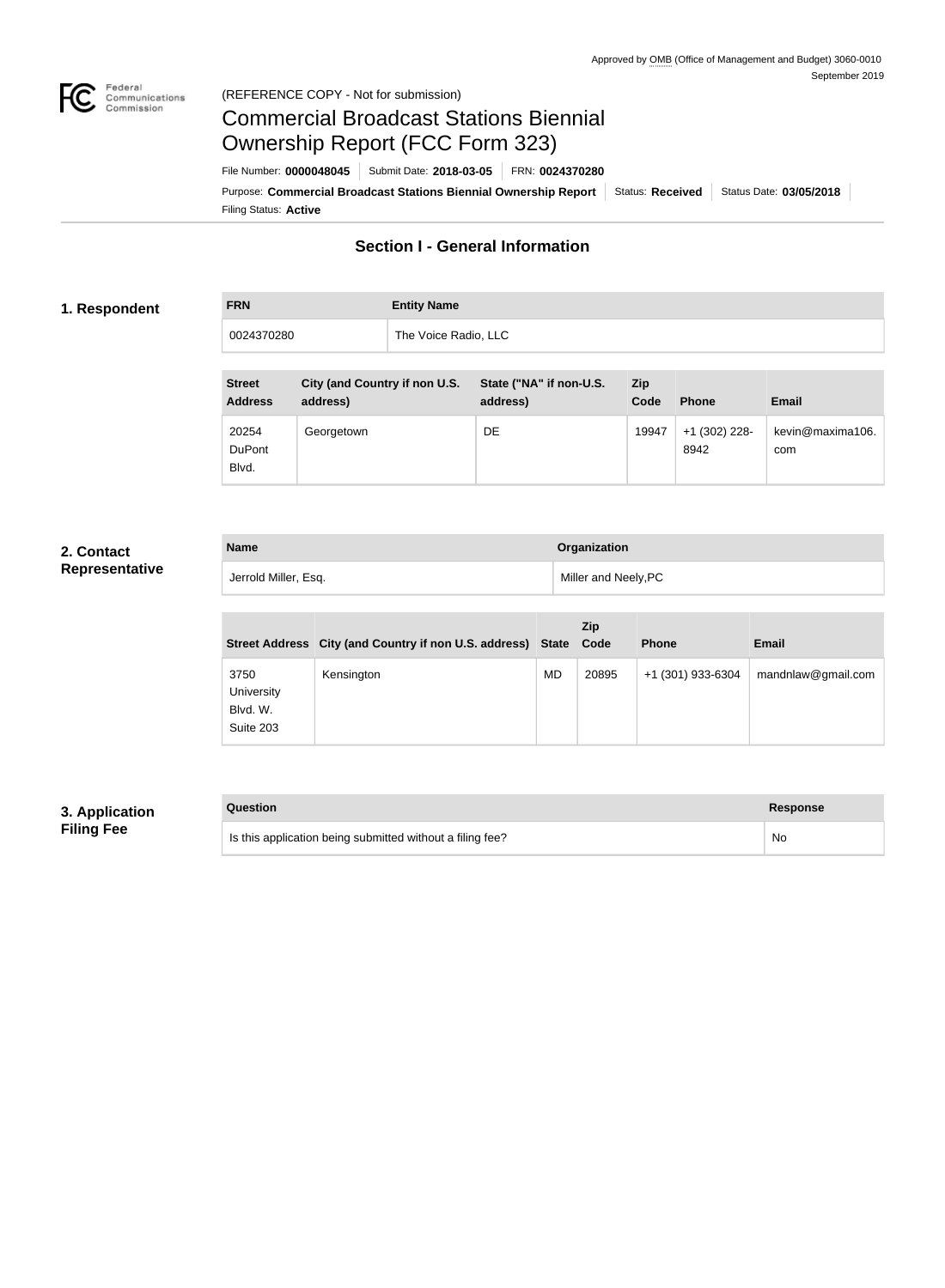

## Federal<br>Communications<br>Commission (REFERENCE COPY - Not for submission)

# Commercial Broadcast Stations Biennial Ownership Report (FCC Form 323)

Filing Status: **Active** Purpose: Commercial Broadcast Stations Biennial Ownership Report Status: Received Status Date: 03/05/2018 File Number: **0000048045** Submit Date: **2018-03-05** FRN: **0024370280**

# **Section I - General Information**

## **1. Respondent**

**FRN Entity Name** 0024370280 The Voice Radio, LLC

| <b>Street</b><br><b>Address</b> | City (and Country if non U.S.<br>address) | State ("NA" if non-U.S.<br>address) | Zip.<br>Code | <b>Phone</b>            | <b>Email</b>            |
|---------------------------------|-------------------------------------------|-------------------------------------|--------------|-------------------------|-------------------------|
| 20254<br><b>DuPont</b><br>Blvd. | Georgetown                                | DE                                  | 19947        | $+1$ (302) 228-<br>8942 | kevin@maxima106.<br>com |

## **2. Contact Representative**

| <b>Name</b>          | Organization         |
|----------------------|----------------------|
| Jerrold Miller, Esq. | Miller and Neely, PC |

|                                             | Street Address City (and Country if non U.S. address) State |    | Zip<br>Code | <b>Phone</b>      | <b>Email</b>       |
|---------------------------------------------|-------------------------------------------------------------|----|-------------|-------------------|--------------------|
| 3750<br>University<br>Blvd. W.<br>Suite 203 | Kensington                                                  | MD | 20895       | +1 (301) 933-6304 | mandnlaw@gmail.com |

## **3. Application Filing Fee**

| Question                                                  | Response |
|-----------------------------------------------------------|----------|
| Is this application being submitted without a filing fee? | No       |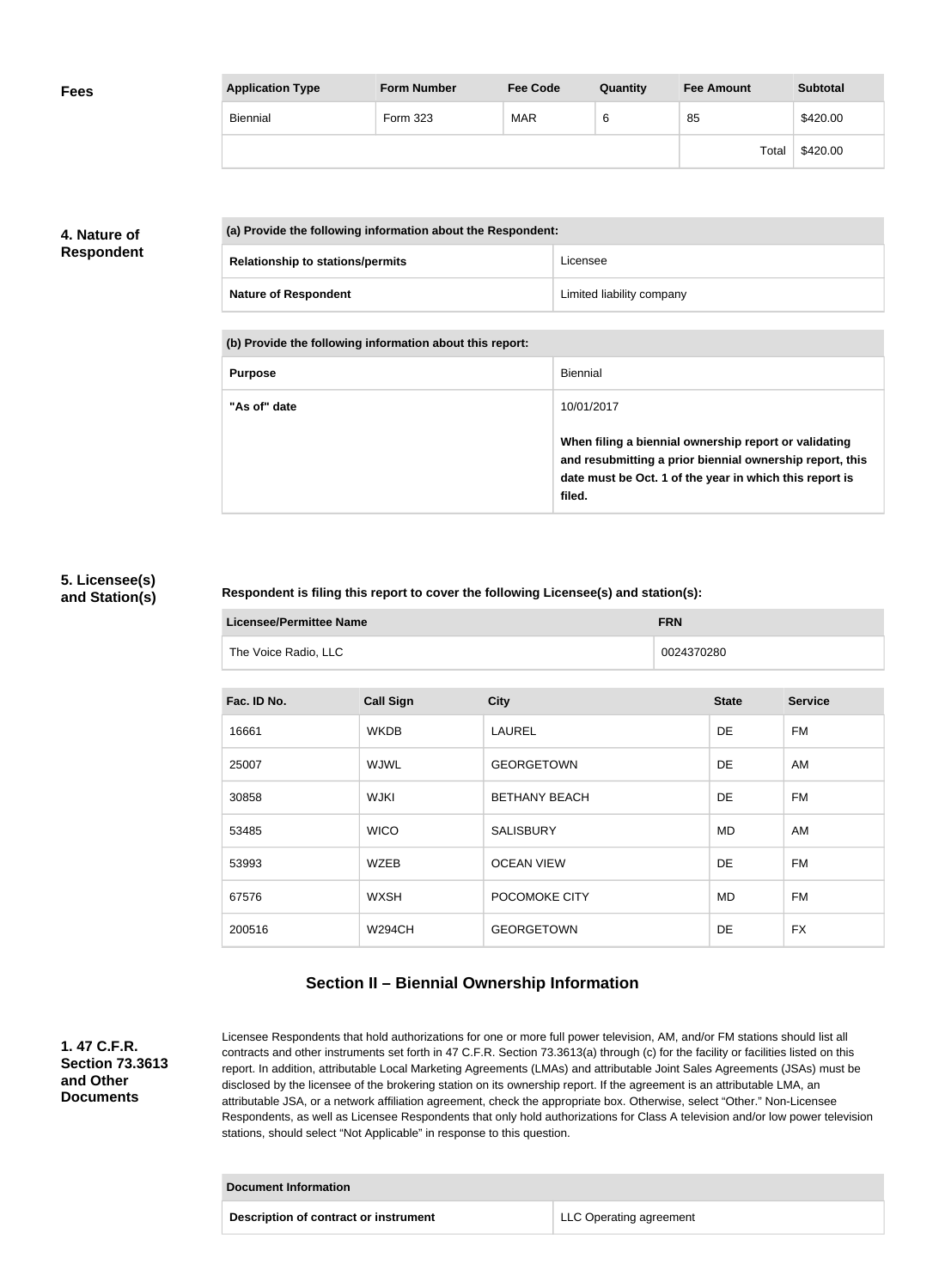| <b>Fees</b> | <b>Application Type</b> | <b>Form Number</b> | <b>Fee Code</b> | Quantity | <b>Fee Amount</b> | <b>Subtotal</b> |
|-------------|-------------------------|--------------------|-----------------|----------|-------------------|-----------------|
|             | Biennial                | Form 323           | <b>MAR</b>      | 6        | 85                | \$420.00        |
|             |                         |                    |                 |          | Total             | \$420.00        |

# **4. Nature of Respondent**

| (a) Provide the following information about the Respondent: |                                         |                           |
|-------------------------------------------------------------|-----------------------------------------|---------------------------|
|                                                             | <b>Relationship to stations/permits</b> | Licensee                  |
|                                                             | <b>Nature of Respondent</b>             | Limited liability company |

**(b) Provide the following information about this report:**

| <b>Purpose</b> | Biennial                                                                                                                                                                               |
|----------------|----------------------------------------------------------------------------------------------------------------------------------------------------------------------------------------|
| "As of" date   | 10/01/2017                                                                                                                                                                             |
|                | When filing a biennial ownership report or validating<br>and resubmitting a prior biennial ownership report, this<br>date must be Oct. 1 of the year in which this report is<br>filed. |

## **5. Licensee(s) and Station(s)**

## **Respondent is filing this report to cover the following Licensee(s) and station(s):**

| Licensee/Permittee Name |                      | <b>FRN</b> |
|-------------------------|----------------------|------------|
|                         | The Voice Radio, LLC | 0024370280 |

| Fac. ID No. | <b>Call Sign</b> | <b>City</b>          | <b>State</b> | <b>Service</b> |
|-------------|------------------|----------------------|--------------|----------------|
| 16661       | <b>WKDB</b>      | <b>LAUREL</b>        | DE.          | FM             |
| 25007       | <b>WJWL</b>      | <b>GEORGETOWN</b>    | DE.          | AM             |
| 30858       | <b>WJKI</b>      | <b>BETHANY BEACH</b> | DE           | FM             |
| 53485       | <b>WICO</b>      | <b>SALISBURY</b>     | MD           | AM             |
| 53993       | <b>WZEB</b>      | <b>OCEAN VIEW</b>    | DE           | FM             |
| 67576       | <b>WXSH</b>      | POCOMOKE CITY        | <b>MD</b>    | <b>FM</b>      |
| 200516      | <b>W294CH</b>    | <b>GEORGETOWN</b>    | <b>DE</b>    | <b>FX</b>      |

# **Section II – Biennial Ownership Information**

**1. 47 C.F.R. Section 73.3613 and Other Documents**

Licensee Respondents that hold authorizations for one or more full power television, AM, and/or FM stations should list all contracts and other instruments set forth in 47 C.F.R. Section 73.3613(a) through (c) for the facility or facilities listed on this report. In addition, attributable Local Marketing Agreements (LMAs) and attributable Joint Sales Agreements (JSAs) must be disclosed by the licensee of the brokering station on its ownership report. If the agreement is an attributable LMA, an attributable JSA, or a network affiliation agreement, check the appropriate box. Otherwise, select "Other." Non-Licensee Respondents, as well as Licensee Respondents that only hold authorizations for Class A television and/or low power television stations, should select "Not Applicable" in response to this question.

| <b>Document Information</b>           |                         |  |
|---------------------------------------|-------------------------|--|
| Description of contract or instrument | LLC Operating agreement |  |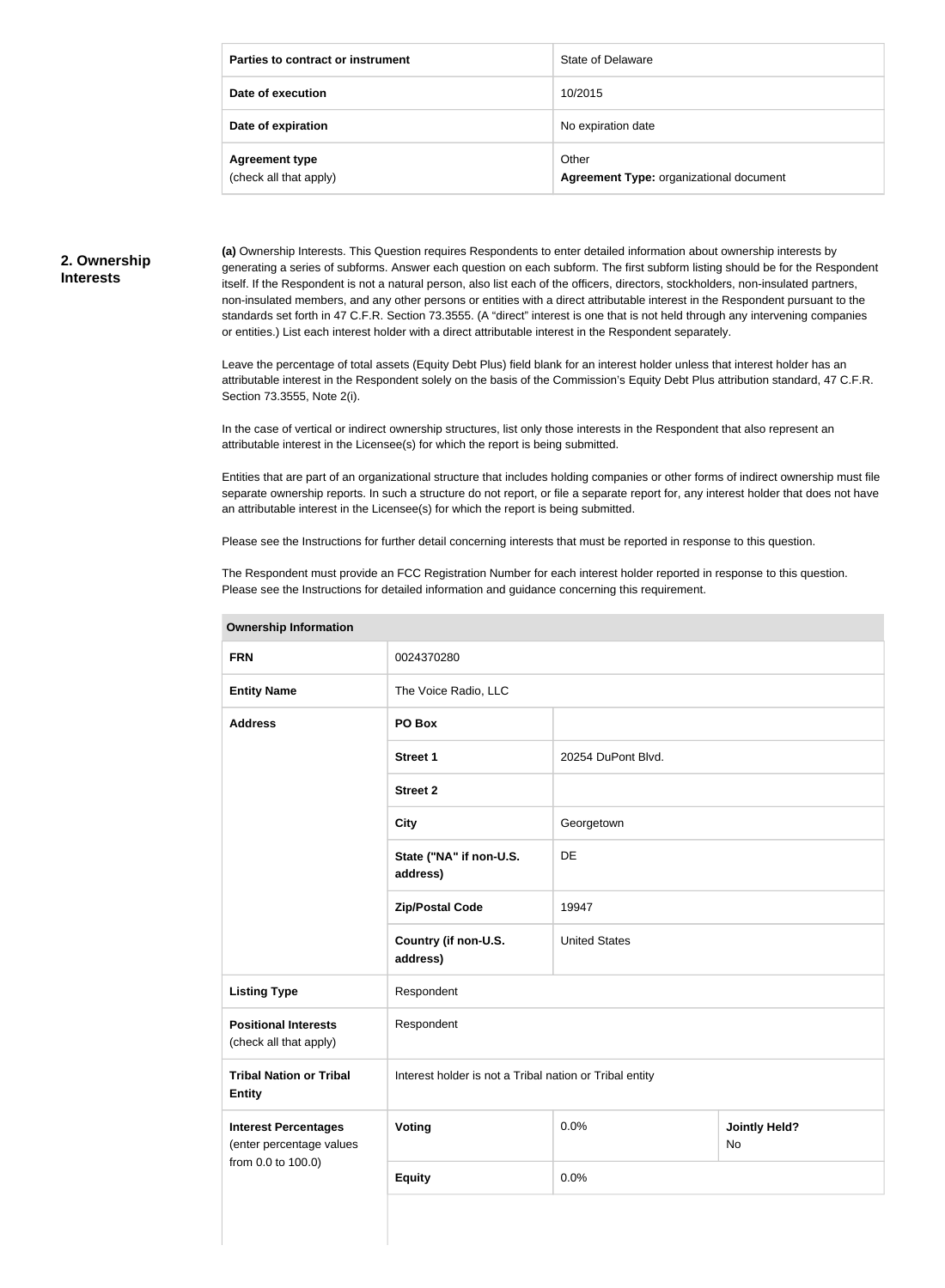| Parties to contract or instrument               | State of Delaware                                |
|-------------------------------------------------|--------------------------------------------------|
| Date of execution                               | 10/2015                                          |
| Date of expiration                              | No expiration date                               |
| <b>Agreement type</b><br>(check all that apply) | Other<br>Agreement Type: organizational document |

#### **2. Ownership Interests**

**(a)** Ownership Interests. This Question requires Respondents to enter detailed information about ownership interests by generating a series of subforms. Answer each question on each subform. The first subform listing should be for the Respondent itself. If the Respondent is not a natural person, also list each of the officers, directors, stockholders, non-insulated partners, non-insulated members, and any other persons or entities with a direct attributable interest in the Respondent pursuant to the standards set forth in 47 C.F.R. Section 73.3555. (A "direct" interest is one that is not held through any intervening companies or entities.) List each interest holder with a direct attributable interest in the Respondent separately.

Leave the percentage of total assets (Equity Debt Plus) field blank for an interest holder unless that interest holder has an attributable interest in the Respondent solely on the basis of the Commission's Equity Debt Plus attribution standard, 47 C.F.R. Section 73.3555, Note 2(i).

In the case of vertical or indirect ownership structures, list only those interests in the Respondent that also represent an attributable interest in the Licensee(s) for which the report is being submitted.

Entities that are part of an organizational structure that includes holding companies or other forms of indirect ownership must file separate ownership reports. In such a structure do not report, or file a separate report for, any interest holder that does not have an attributable interest in the Licensee(s) for which the report is being submitted.

Please see the Instructions for further detail concerning interests that must be reported in response to this question.

The Respondent must provide an FCC Registration Number for each interest holder reported in response to this question. Please see the Instructions for detailed information and guidance concerning this requirement.

| <b>Ownership Information</b>                            |                                                         |                      |                                   |  |
|---------------------------------------------------------|---------------------------------------------------------|----------------------|-----------------------------------|--|
| <b>FRN</b>                                              | 0024370280                                              |                      |                                   |  |
| <b>Entity Name</b>                                      | The Voice Radio, LLC                                    |                      |                                   |  |
| <b>Address</b>                                          | PO Box                                                  |                      |                                   |  |
|                                                         | <b>Street 1</b>                                         | 20254 DuPont Blvd.   |                                   |  |
|                                                         | <b>Street 2</b>                                         |                      |                                   |  |
|                                                         | <b>City</b>                                             | Georgetown           |                                   |  |
|                                                         | State ("NA" if non-U.S.<br>address)                     | DE                   |                                   |  |
|                                                         | <b>Zip/Postal Code</b>                                  | 19947                |                                   |  |
|                                                         | Country (if non-U.S.<br>address)                        | <b>United States</b> |                                   |  |
| <b>Listing Type</b>                                     | Respondent                                              |                      |                                   |  |
| <b>Positional Interests</b><br>(check all that apply)   | Respondent                                              |                      |                                   |  |
| <b>Tribal Nation or Tribal</b><br><b>Entity</b>         | Interest holder is not a Tribal nation or Tribal entity |                      |                                   |  |
| <b>Interest Percentages</b><br>(enter percentage values | Voting                                                  | 0.0%                 | <b>Jointly Held?</b><br><b>No</b> |  |
| from 0.0 to 100.0)                                      | <b>Equity</b>                                           | 0.0%                 |                                   |  |
|                                                         |                                                         |                      |                                   |  |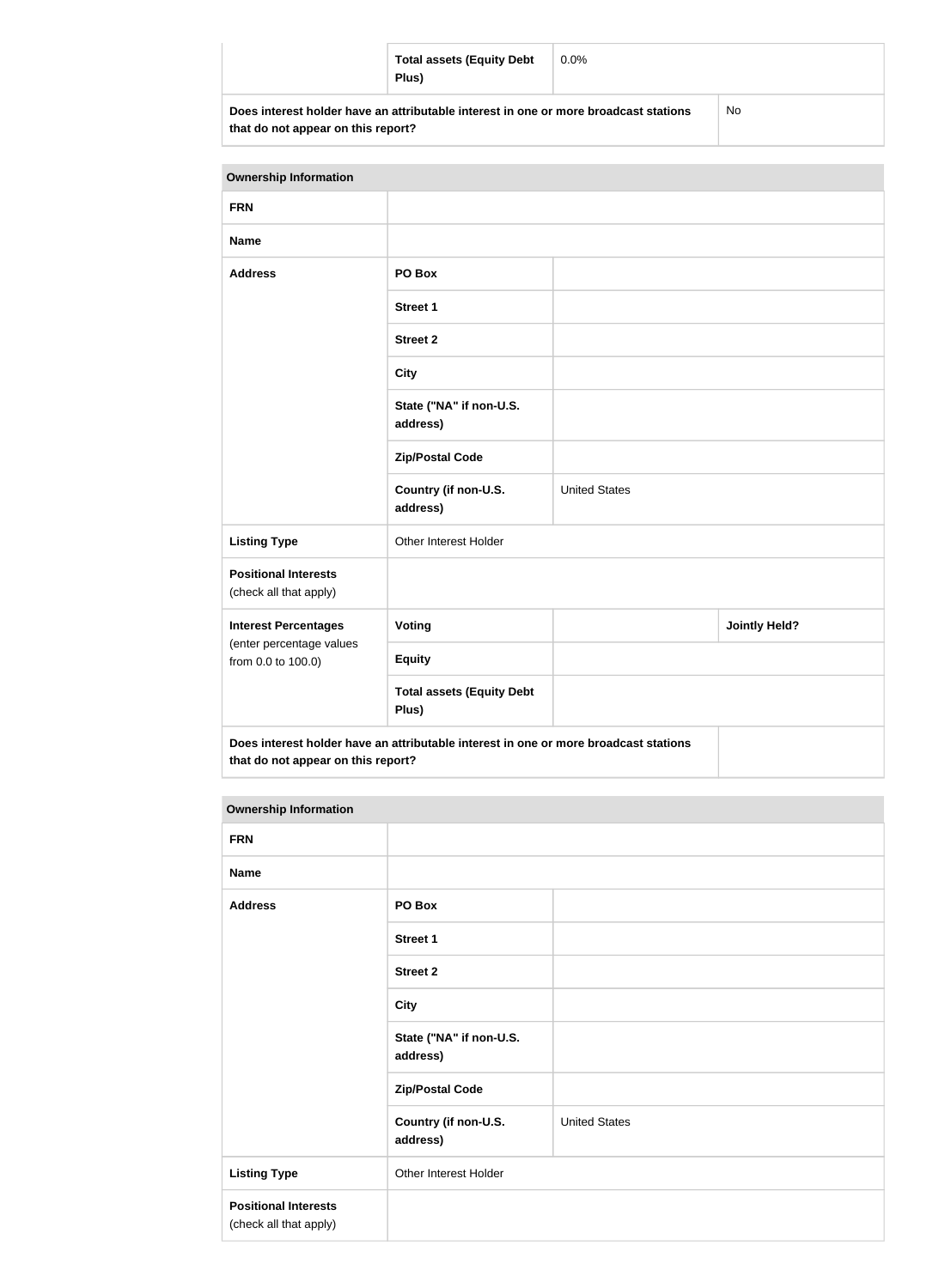| <b>Total assets (Equity Debt</b><br>Plus)                                            | $0.0\%$ |    |
|--------------------------------------------------------------------------------------|---------|----|
| Does interest holder have an attributable interest in one or more broadcast stations |         | No |

**that do not appear on this report?**

| <b>Ownership Information</b>                          |                                                                                      |                      |                      |
|-------------------------------------------------------|--------------------------------------------------------------------------------------|----------------------|----------------------|
| <b>FRN</b>                                            |                                                                                      |                      |                      |
| <b>Name</b>                                           |                                                                                      |                      |                      |
| <b>Address</b>                                        | PO Box                                                                               |                      |                      |
|                                                       | <b>Street 1</b>                                                                      |                      |                      |
|                                                       | <b>Street 2</b>                                                                      |                      |                      |
|                                                       | <b>City</b>                                                                          |                      |                      |
|                                                       | State ("NA" if non-U.S.<br>address)                                                  |                      |                      |
|                                                       | <b>Zip/Postal Code</b>                                                               |                      |                      |
|                                                       | Country (if non-U.S.<br>address)                                                     | <b>United States</b> |                      |
| <b>Listing Type</b>                                   | Other Interest Holder                                                                |                      |                      |
| <b>Positional Interests</b><br>(check all that apply) |                                                                                      |                      |                      |
| <b>Interest Percentages</b>                           | <b>Voting</b>                                                                        |                      | <b>Jointly Held?</b> |
| (enter percentage values<br>from 0.0 to 100.0)        | <b>Equity</b>                                                                        |                      |                      |
|                                                       | <b>Total assets (Equity Debt</b><br>Plus)                                            |                      |                      |
| that do not appear on this report?                    | Does interest holder have an attributable interest in one or more broadcast stations |                      |                      |

| <b>Ownership Information</b>                          |                                     |                      |
|-------------------------------------------------------|-------------------------------------|----------------------|
| <b>FRN</b>                                            |                                     |                      |
| <b>Name</b>                                           |                                     |                      |
| <b>Address</b>                                        | PO Box                              |                      |
|                                                       | <b>Street 1</b>                     |                      |
|                                                       | <b>Street 2</b>                     |                      |
|                                                       | <b>City</b>                         |                      |
|                                                       | State ("NA" if non-U.S.<br>address) |                      |
|                                                       | <b>Zip/Postal Code</b>              |                      |
|                                                       | Country (if non-U.S.<br>address)    | <b>United States</b> |
| <b>Listing Type</b>                                   | Other Interest Holder               |                      |
| <b>Positional Interests</b><br>(check all that apply) |                                     |                      |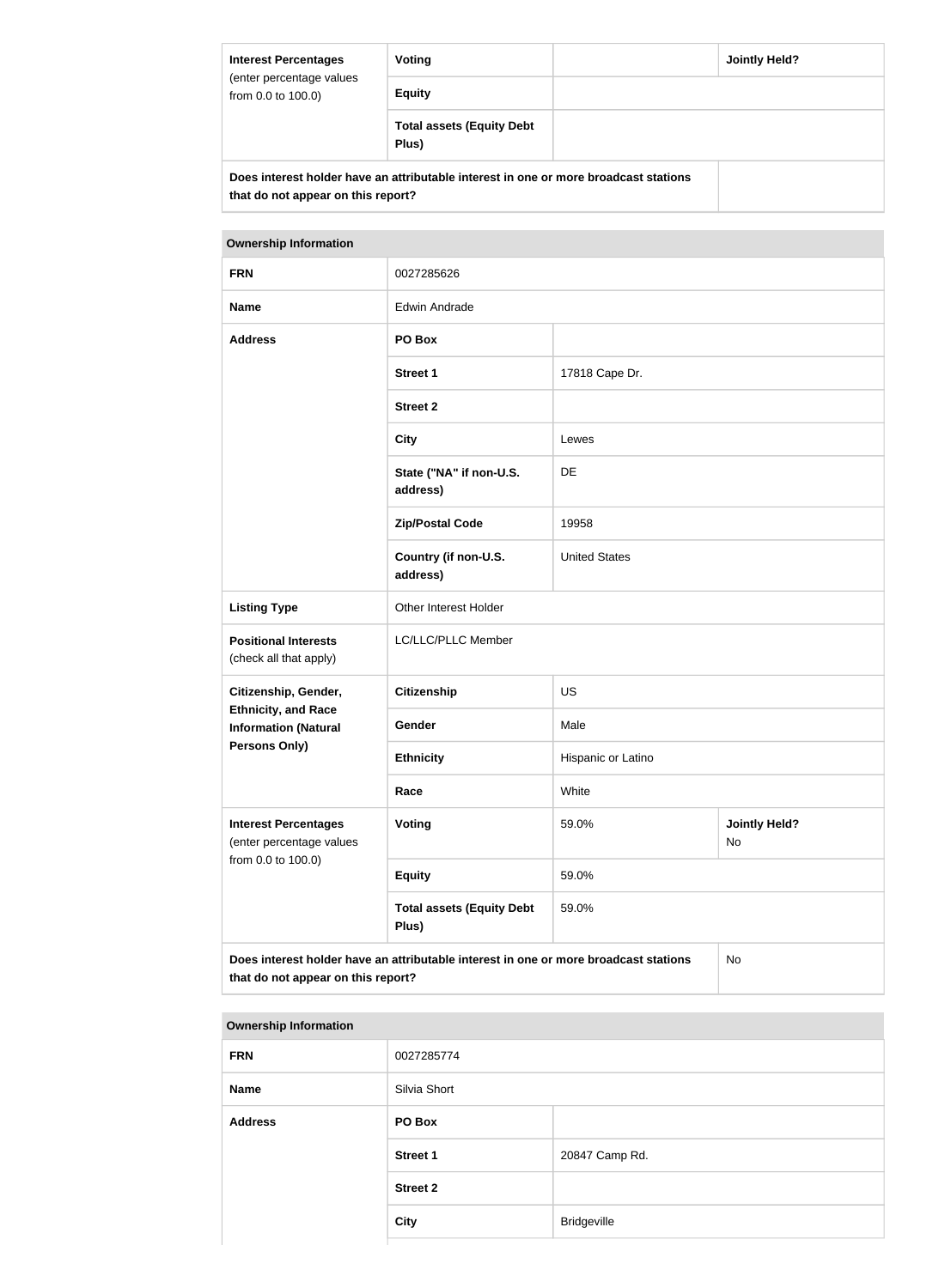| <b>Interest Percentages</b><br>(enter percentage values<br>from 0.0 to 100.0) | Voting                                                                               | Jointly Held? |
|-------------------------------------------------------------------------------|--------------------------------------------------------------------------------------|---------------|
|                                                                               | <b>Equity</b>                                                                        |               |
|                                                                               | <b>Total assets (Equity Debt</b><br>Plus)                                            |               |
| that do not appear on this report?                                            | Does interest holder have an attributable interest in one or more broadcast stations |               |

| <b>Ownership Information</b>                                                               |                                           |                      |                            |
|--------------------------------------------------------------------------------------------|-------------------------------------------|----------------------|----------------------------|
| <b>FRN</b>                                                                                 | 0027285626                                |                      |                            |
| <b>Name</b>                                                                                | <b>Edwin Andrade</b>                      |                      |                            |
| <b>Address</b>                                                                             | PO Box                                    |                      |                            |
|                                                                                            | <b>Street 1</b>                           | 17818 Cape Dr.       |                            |
|                                                                                            | <b>Street 2</b>                           |                      |                            |
|                                                                                            | <b>City</b>                               | Lewes                |                            |
|                                                                                            | State ("NA" if non-U.S.<br>address)       | <b>DE</b>            |                            |
|                                                                                            | <b>Zip/Postal Code</b>                    | 19958                |                            |
|                                                                                            | Country (if non-U.S.<br>address)          | <b>United States</b> |                            |
| <b>Listing Type</b>                                                                        | Other Interest Holder                     |                      |                            |
| <b>Positional Interests</b><br>(check all that apply)                                      | LC/LLC/PLLC Member                        |                      |                            |
| Citizenship, Gender,                                                                       | <b>Citizenship</b>                        | US                   |                            |
| <b>Ethnicity, and Race</b><br><b>Information (Natural</b>                                  | Gender                                    | Male                 |                            |
| Persons Only)                                                                              | <b>Ethnicity</b>                          | Hispanic or Latino   |                            |
|                                                                                            | Race                                      | White                |                            |
| <b>Interest Percentages</b><br>(enter percentage values                                    | Voting                                    | 59.0%                | <b>Jointly Held?</b><br>No |
| from 0.0 to 100.0)                                                                         | <b>Equity</b>                             | 59.0%                |                            |
|                                                                                            | <b>Total assets (Equity Debt</b><br>Plus) | 59.0%                |                            |
| Does interest holder have an attributable interest in one or more broadcast stations<br>No |                                           |                      |                            |

**that do not appear on this report?**

| <b>Ownership Information</b> |                 |                |
|------------------------------|-----------------|----------------|
| <b>FRN</b>                   | 0027285774      |                |
| <b>Name</b>                  | Silvia Short    |                |
| <b>Address</b>               | PO Box          |                |
|                              | <b>Street 1</b> | 20847 Camp Rd. |
|                              | <b>Street 2</b> |                |
|                              | <b>City</b>     | Bridgeville    |
|                              |                 |                |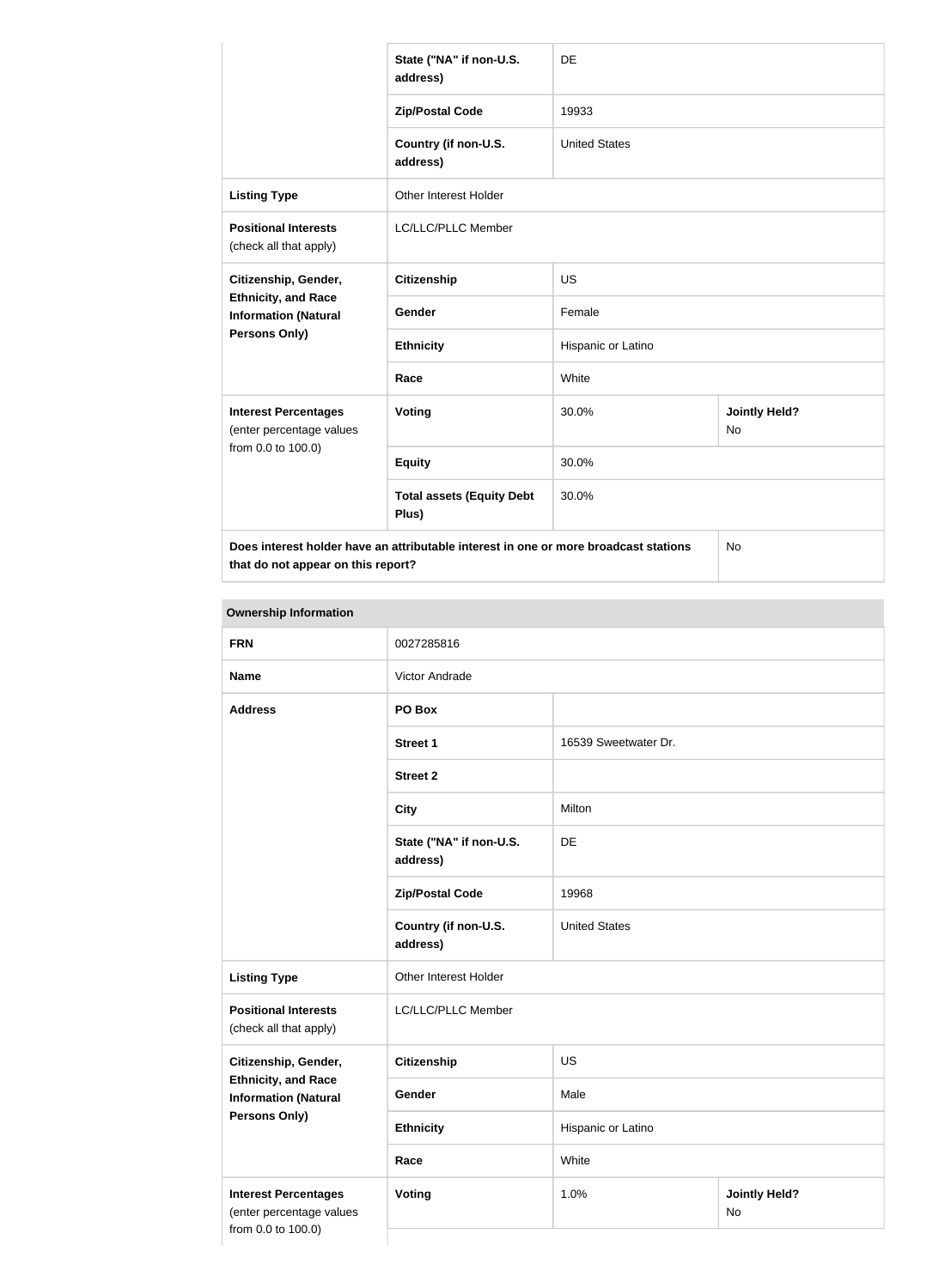|                                                                                      | State ("NA" if non-U.S.<br>address)       | DE                   |                            |
|--------------------------------------------------------------------------------------|-------------------------------------------|----------------------|----------------------------|
|                                                                                      | <b>Zip/Postal Code</b>                    | 19933                |                            |
|                                                                                      | Country (if non-U.S.<br>address)          | <b>United States</b> |                            |
| <b>Listing Type</b>                                                                  | Other Interest Holder                     |                      |                            |
| <b>Positional Interests</b><br>(check all that apply)                                | LC/LLC/PLLC Member                        |                      |                            |
| Citizenship, Gender,                                                                 | <b>Citizenship</b>                        | <b>US</b>            |                            |
| <b>Ethnicity, and Race</b><br><b>Information (Natural</b>                            | Gender                                    | Female               |                            |
| Persons Only)                                                                        | <b>Ethnicity</b>                          | Hispanic or Latino   |                            |
|                                                                                      | Race                                      | White                |                            |
| <b>Interest Percentages</b><br>(enter percentage values                              | Voting                                    | 30.0%                | <b>Jointly Held?</b><br>No |
| from 0.0 to 100.0)                                                                   | <b>Equity</b>                             | 30.0%                |                            |
|                                                                                      | <b>Total assets (Equity Debt</b><br>Plus) | 30.0%                |                            |
| Does interest holder have an attributable interest in one or more broadcast stations |                                           |                      | No                         |

**that do not appear on this report?**

**Ownership Information FRN** 0027285816 **Name Victor Andrade Address PO Box Street 1** 16539 Sweetwater Dr. **Street 2 City** Milton **State ("NA" if non-U.S. address)** DE **Zip/Postal Code** 19968 **Country (if non-U.S. address)** United States **Listing Type Circuit Constructs** Other Interest Holder **Positional Interests** (check all that apply) LC/LLC/PLLC Member **Citizenship, Gender, Ethnicity, and Race Information (Natural Persons Only) Citizenship** US Gender Male **Ethnicity** Hispanic or Latino **Race** White **Interest Percentages** (enter percentage values from 0.0 to 100.0) **Voting 1.0% 1.0% Jointly Held?** No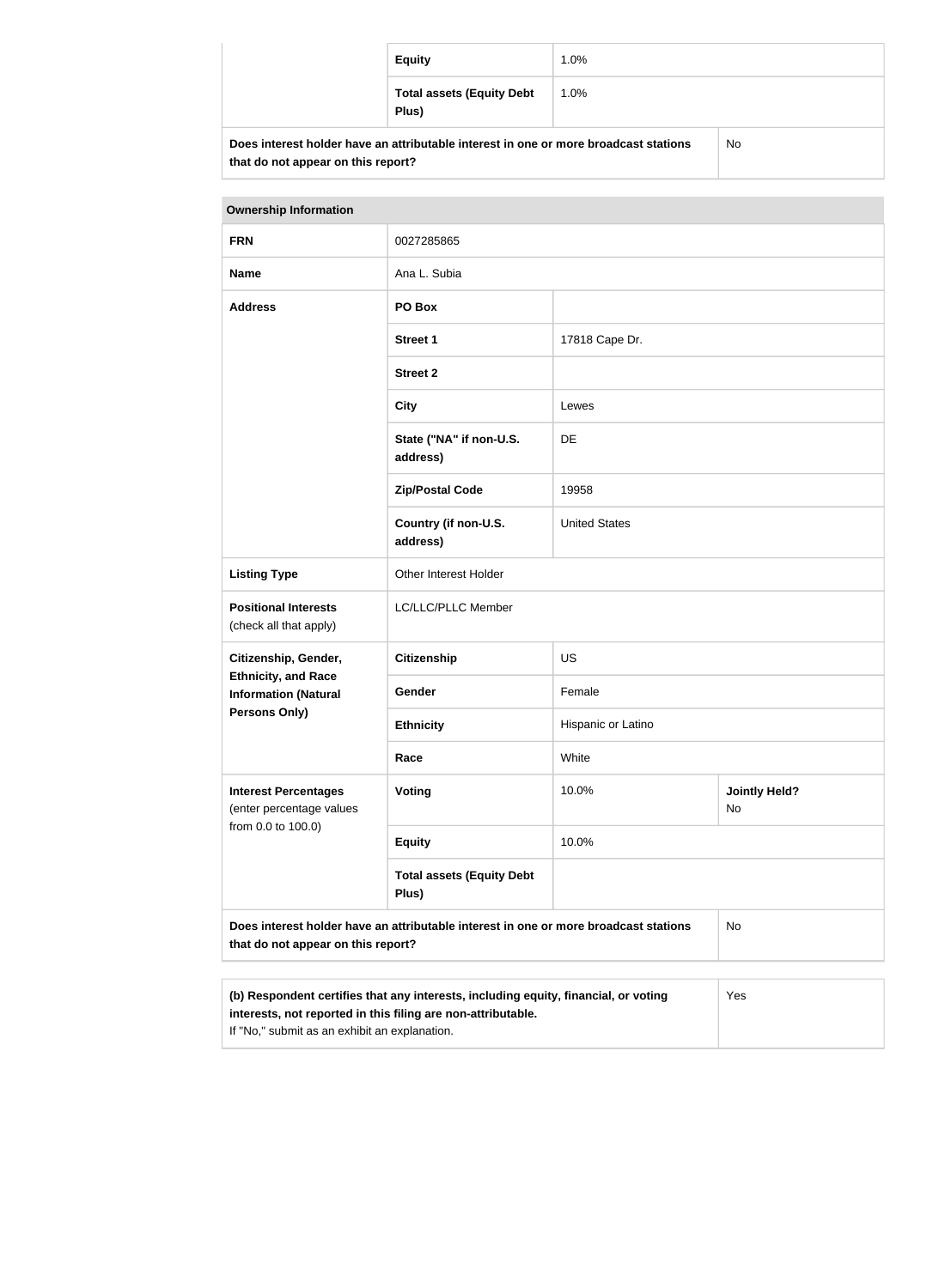|                                                                                            | <b>Equity</b>                             | $1.0\%$ |  |
|--------------------------------------------------------------------------------------------|-------------------------------------------|---------|--|
|                                                                                            | <b>Total assets (Equity Debt</b><br>Plus) | $1.0\%$ |  |
| Does interest holder have an attributable interest in one or more broadcast stations<br>No |                                           |         |  |

| <b>Ownership Information</b>                              |                                                                                                                                                            |                      |                            |  |
|-----------------------------------------------------------|------------------------------------------------------------------------------------------------------------------------------------------------------------|----------------------|----------------------------|--|
| <b>FRN</b>                                                | 0027285865                                                                                                                                                 |                      |                            |  |
| <b>Name</b>                                               | Ana L. Subia                                                                                                                                               |                      |                            |  |
| <b>Address</b>                                            | PO Box                                                                                                                                                     |                      |                            |  |
|                                                           | <b>Street 1</b>                                                                                                                                            | 17818 Cape Dr.       |                            |  |
|                                                           | <b>Street 2</b>                                                                                                                                            |                      |                            |  |
|                                                           | <b>City</b>                                                                                                                                                | Lewes                |                            |  |
|                                                           | State ("NA" if non-U.S.<br>address)                                                                                                                        | <b>DE</b>            |                            |  |
|                                                           | <b>Zip/Postal Code</b>                                                                                                                                     | 19958                |                            |  |
|                                                           | Country (if non-U.S.<br>address)                                                                                                                           | <b>United States</b> |                            |  |
| <b>Listing Type</b>                                       | Other Interest Holder                                                                                                                                      |                      |                            |  |
| <b>Positional Interests</b><br>(check all that apply)     | LC/LLC/PLLC Member                                                                                                                                         |                      |                            |  |
| Citizenship, Gender,                                      | <b>Citizenship</b>                                                                                                                                         | <b>US</b>            |                            |  |
| <b>Ethnicity, and Race</b><br><b>Information (Natural</b> | Gender                                                                                                                                                     | Female               |                            |  |
| Persons Only)                                             | <b>Ethnicity</b>                                                                                                                                           | Hispanic or Latino   |                            |  |
|                                                           | Race                                                                                                                                                       | White                |                            |  |
| <b>Interest Percentages</b><br>(enter percentage values   | Voting                                                                                                                                                     | 10.0%                | <b>Jointly Held?</b><br>No |  |
| from 0.0 to 100.0)                                        | <b>Equity</b>                                                                                                                                              | 10.0%                |                            |  |
|                                                           | <b>Total assets (Equity Debt</b><br>Plus)                                                                                                                  |                      |                            |  |
| that do not appear on this report?                        | Does interest holder have an attributable interest in one or more broadcast stations                                                                       |                      | <b>No</b>                  |  |
|                                                           |                                                                                                                                                            |                      |                            |  |
|                                                           | (b) Respondent certifies that any interests, including equity, financial, or voting<br>Yes<br>interests, not reported in this filing are non-attributable. |                      |                            |  |

If "No," submit as an exhibit an explanation.

**that do not appear on this report?**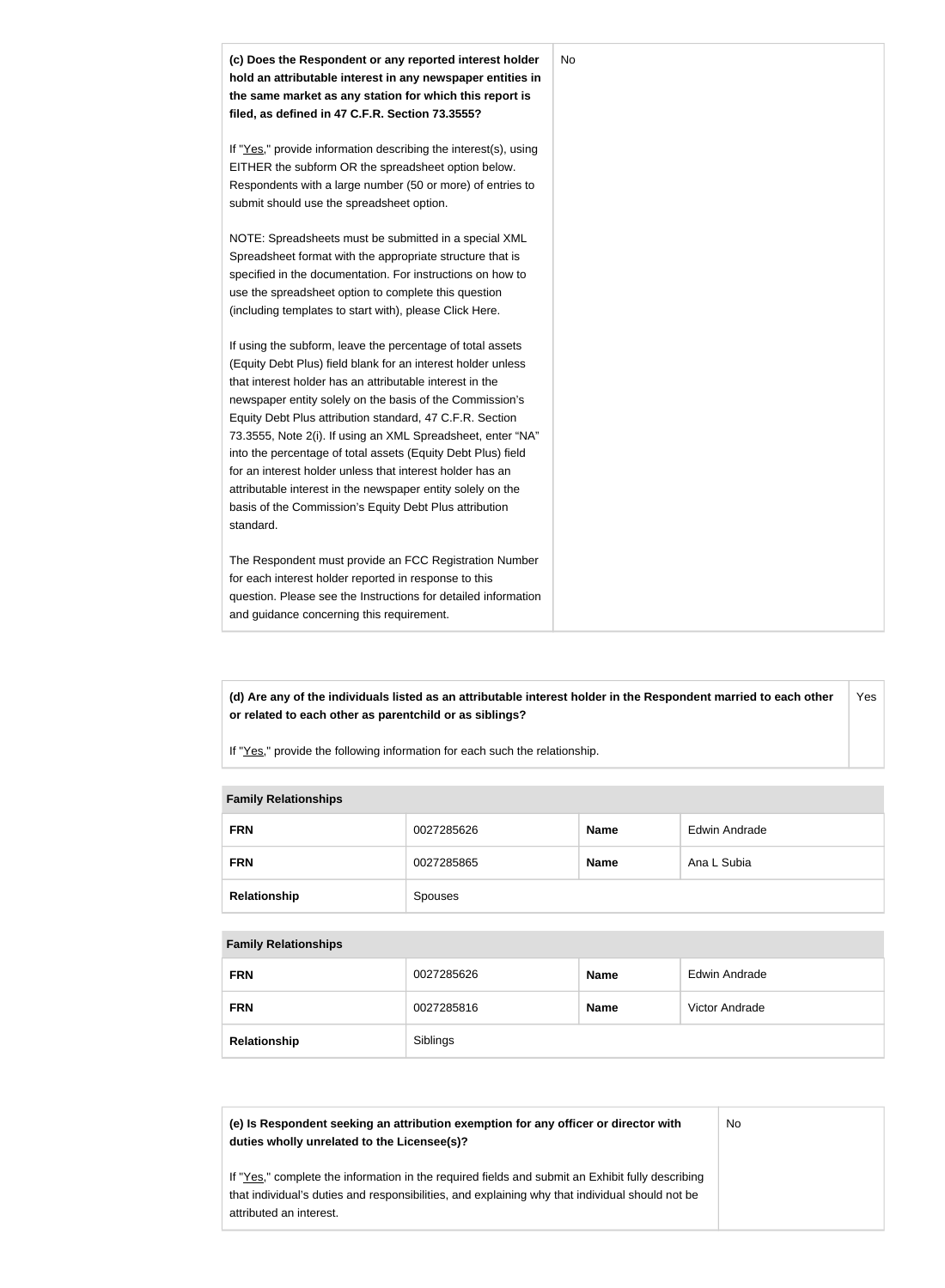

**(d) Are any of the individuals listed as an attributable interest holder in the Respondent married to each other or related to each other as parentchild or as siblings?** Yes

If "Yes," provide the following information for each such the relationship.

#### **Family Relationships**

| <b>FRN</b>   | 0027285626 | <b>Name</b> | <b>Edwin Andrade</b> |
|--------------|------------|-------------|----------------------|
| <b>FRN</b>   | 0027285865 | <b>Name</b> | Ana L Subia          |
| Relationship | Spouses    |             |                      |

#### **Family Relationships**

| <b>FRN</b>   | 0027285626 | <b>Name</b> | Edwin Andrade  |
|--------------|------------|-------------|----------------|
| <b>FRN</b>   | 0027285816 | <b>Name</b> | Victor Andrade |
| Relationship | Siblings   |             |                |

**(e) Is Respondent seeking an attribution exemption for any officer or director with duties wholly unrelated to the Licensee(s)?**

No

If "Yes," complete the information in the required fields and submit an Exhibit fully describing that individual's duties and responsibilities, and explaining why that individual should not be attributed an interest.